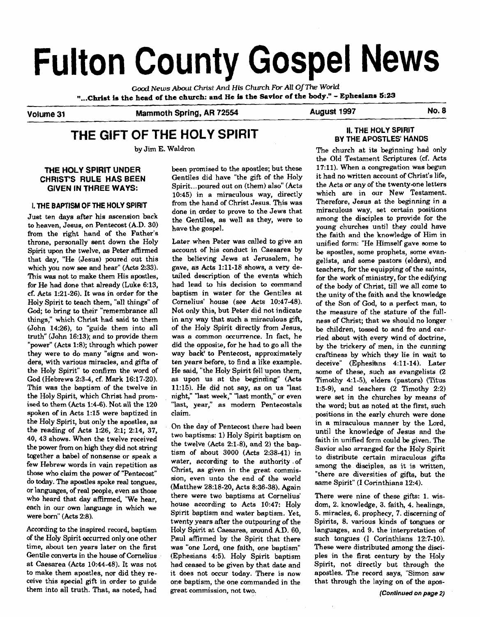# **Fulton County Gospel News**

Gooti *News* **About Christ And His Church For All** *OfThe World*  **"...Christ is the head of the church: and He** is **the Savior of the body."** - **Ephesians 5:23** 

**Volume 31 Mammoth Spring, AR 72554 August 1997 No. 8** 

### **THE GIFT OF THE HOLY SPIRIT**

by Jim E. Waldron

#### **THE HOLY SPIRIT UNDER CHRISTS RULE HAS BEEN GIVEN IN THREE WAYS:**

#### **I. THE BAPTISM OF THE HOLY SPIRIT**

Just ten days after his ascension back to heaven, Jesus, on Pentecost (A.D. 30) from the right hand of the Father's throne, personally sent down the Holy Spirit upon the twelve, **as** Peter affirmed that day, "He (Jesus) poured out this which you now see and hear" (Acts 2:33). This was not to make them His apostles, for He had done that already (Luke 6:13, cf. Acts 1:21-26). It was in order for the Holy Spirit to teach them, "all things" of **God;** to bring to their "remembrance all things," which Christ had said to them (John 14:26), to "guide them into all truth" (John 16:13); and to provide them "power" (Acts 1:8); through which power they were to do many "signs and wonders, with various miracles, and gifts of the Holy Spirit" to confirm the word of God (Hebrews 2:3-4, cf. Mark 16:17-20). This was the baptism of the twelve in the Holy Spirit, which Christ had promised to them  $(Acts 1:4-6)$ . Not all the  $120$ spoken of in Acts 1:15 were baptized in the Holy Spirit, but only the apostles, as the reading of Acts 1:26, 2:1; 2:14, 37, 40,43 shows. When the twelve received the power from on high they did not string together a babel of nonsense or speak a few Hebrew words in vain repetition as those who claim the power of "Pentecost" do today. The apostles spoke real tongues, or languages, of real people, even as those who heard that day affirmed, "We hear, each in our own language in which we were born" (Acts 2:8).

According to the inspired record, baptism of the Holy Spirit occurred only one other time, about ten years later on the first Gentile converts in the house of Cornelius at Caesarea (Acts 10:44-48). It was not to make them apostles, nor did they receive this special gift in order to guide them into all truth. That, as noted, had

been promised to the apostles; but these Gentiles did have "the gift of the Holy Spirit ... poured out on (them) also" (Acts 10:45) in a miraculous way, directly from the hand of Christ Jesus. This was done in order to prove to the Jews that the Gentiles, as well as they, were to have the gospel.

**Later.** when Peter was called to give an account of his conduct in Caesarea by the believing Jews at Jerusalem, he gave, as Acts 1:ll-18 shows, a very detailed description of the events which had lead to his decision to command baptism in water for the Gentiles at Cornelius' house (see Acts 10:47-48). Not only this, but Peter did not indicate in any way that such a miraculous gift, of the Holy Spirit directly from Jesus, was a common occurrence. In fact, he did the opposite, for he had to go all the way back to Pentecost, approximately ten years before, to find a like example. He said, "the Holy Spirit fell upon them, as upon us at the beginning" (Acts 11:15). He did not say, as on us 'last night," 'last week," 'last month," or even "last, year," as modem Pentecostals claim.

On the day of Pentecost there had been two baptisms: 1) Holy Spirit baptism on the twelve (Acts 2:l-81, and **2)** the baptism of about 3000 (Acts 2:38-41) in water, according to the authority .of Christ, **as** given in the great commission, even unto the end of the world (Matthew 28:18-20, Acts 8:36-38). **Again**  there were two baptisms at Cornelius' house according to Acts 10:47: Holy Spirit baptism and water baptism. Yet, twenty years after the outpouring of the Holy Spirit at Caesarea, around AD. 60, Paul affirmed by the Spirit that there was "one Lord, one faith, one baptism" (Ephesians 4:5). Holy Spirit baptism had ceased to be given by that date and it does not occur today. There is now one baptism, the one commanded in the great commission, not two.

#### **II. THE HOLY SPIRIT BY THE APOSTLES' HANDS**

The church at its beginning had only the Old Testament Scriptures (cf. Acts 17:ll). When a congregation was begun it had no written account of Christ's life, the Acts or any of the twenty-one letters which are in our New Testament. Therefore, Jesus at the beginning in a miraculous way, set certain positions among the disciples to provide for the young churches until they could have the faith and the knowledge of Him in unified form: "He Himself gave some to be apostles, some prophets, some evangelists, and some pastors (elders), and teachers, for the equipping of the saints, for the work of ministry, for the edifying of the body of Christ, till we all come to the unity of the faith and the knowledge of the Son of God, to a perfect man, to the measure of the stature of the fullness of Christ; that we should no longer be children, tossed to and fro and carried about with every wind of doctrine, by the trickery of men, in the cunning craftiness by which they lie in wait deceive" (Ephesians 4:11-14). Later some of these, such as evangelists (2 Timothy **41-5),** elders (pastors) (Titus 1:5-9), and teachers (2 Timothy 2:2) were set in the churches by means of the word; but as noted at the first, such positions in the early church were done in a miraculous manner by the Lord, until the knowledge of Jesus and the faith in unified form could be given. The Savior also arranged for the Holy Spirit to distribute certain miraculous gifts among the disciples, as it is written, "there are diversities of gifts, but the same Spirit" (I Corinthians 12:4).

There were nine of these gifts: 1. wisdom, 2. knowledge, 3. faith, 4. healings, 5. miracles, 6. prophecy, 7. discerning of Spirits, 8. various kinds of tongues or languages, and 9. the interpretation of such tongues (I Corinthians 12:7-10). These were distributed among the disciples in the first century by the Holy Spirit, not directly but through the apostles. The record says, "Simon saw that through the laying on of the apos-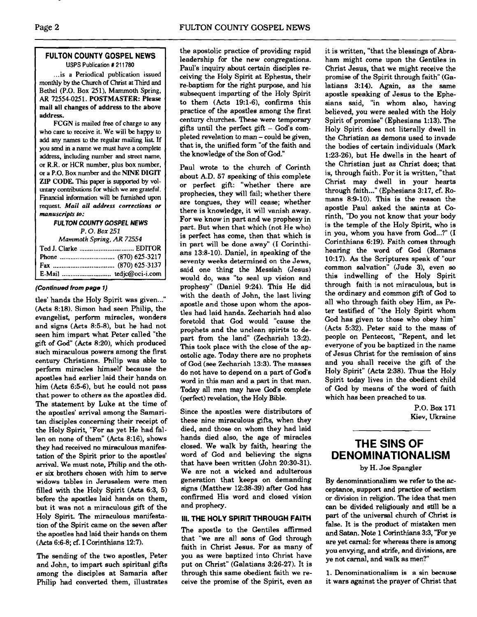#### **FULTON COUNTY GOSPEL NEWS**  USPS Publication # 211780

... is a Periodical publication issued monthly by the Church of Christ at Third and Bethel (P.O. Box 251). Mammoth Spring. AR 72554-0251. POSTMASTER: Please mail all changes of address to the above address.

FCCN is mailed free of charge to any who care to receive it. We will be happy to add any names to the regular mailing list If you **send** m a name we must have a complete address, including number and street name, or R.R. or HCR number. plus **box** number. or a **P.O.** Box number and the NINE DIGIT ZIP CODE. This paper is supported by vol**untary** contributions for which we are grateful. Financial information will be **furnished** upon request. *Mail all* **address corrections or manuscripts to:** 

> **FULTON COUNTY GOSPEL NEWS**  *P.* 0. **Box <sup>251</sup>**

| Mammoth Spring, AR 72554 |  |
|--------------------------|--|
|                          |  |
|                          |  |
|                          |  |
|                          |  |

#### **(Continued from page 1)**

tles' hands the Holy Spirit was given..." (Acts 8:18). Simon had seen Philip, the evangelist, perform miracles, wonders and signs (Acts 8:5-8). but he had not seen him impart what Peter called "the gift of God" (Acts 8:20), which produced such miraculous powers among the first century Christians. Philip was able to perform miracles himself because the apostles had earlier laid their hands on him (Acts 6:5-6), but he could not pass that power to others as the apostles did. The statement by Luke at the time of the apostles' arrival among the Samaritan disciples concerning their receipt of the Holy Spirit, "For **as** yet He had fallen on none of them" (Acts 8:16), shows they had received no miraculous manifestation of the Spirit prior to the apostles' arrival. We must note, Philip and the other six brothers chosen with him to serve widows tables in Jerusalem were men filled with the Holy Spirit (Acts 6:3, 5) before the apostles laid hands on them, but it was not a miraculous gift of the Holy Spirit. The miraculous manifestation of the Spirit came on the seven after the apostles had laid their hands on them (Acts 6:6-8; **cf.** I Corinthians 12:7).

The sending of the two apostles, Peter and John, to impart such spiritual gifts among the disciples at Samaria after Philip had converted them, illustrates the apostolic practice of providing rapid leadership for the new congregations. Paul's inquiry about certain disciples receiving the Holy Spirit at Ephesus, their re-baptism for the right purpose, and his subsequent imparting of the Holy Spirit to them  $(Acts 19:1-6)$ , confirms this practice of the apostles among the first century churches. These were temporary gifts until the perfect gift  $-$  God's completed revelation to man - could be given, that is, the unified form "of the faith and the knowledge of the Son of God."

Paul wrote to the church of Corinth about A.D. 57 speaking of this complete or perfect gift: "whether there are prophecies, they will fail; whether there are tongues, they will cease; whether there is knowledge, it will vanish away. For we know in part and we prophesy in part. But when that which (not He who) is perfect has come, then that which is in part will be done away" (I Corinthians  $13:8-10$ ). Daniel, in speaking of the seventy weeks determined on the Jews, said one thing the Messiah (Jesus) would do, was "to seal up vision and. prophesy" (Daniel 9:24). This He did with the death of John, the last living apostle and those upon whom the apostles had laid hands. Zechariah had also foretold that God would "cause the prophets and the unclean spirits to depart from the land" (Zechariah 13:2). This took place with the close of the apostolic age. Today there are no prophets of God (see Zechariah 13:3). The masses do not have to depend on a part of God's word in this man and a part in that man. Today all men may have God's complete (perfect) revelation, the Holy Bible.

Since the apostles were distributors of these nine miraculous gifts, when they died, and those on whom they had laid hands died also, the age of miracles closed. We walk by faith, hearing the word of God and believing the signs that have been written (John 20:30-31). We are not a wicked and adulterous generation that keeps on demanding signs (Matthew 12:38-39) after God has confirmed His word and closed vision and prophecy.

#### **III. THE HOLY SPIRIT THROUGH FAITH**

The apostle to the Gentiles affirmed that "we are all sons of God through faith in Christ Jesus. For as manv of you as were baptized into Christ have put on Christ" (Galatians 3:26-27). It is through this same obedient faith we receive the promise of the Spirit, even as

it is written, "that the blessings of Abraham might come upon the Gentiles in Christ Jesus, that we might receive the promise of the Spirit through faith" (Galatians 3:14). Again, as the same apostle speaking of Jesus to the Ephesians said, "in whom also, having believed, you were sealed with the Holy Spirit of promise" (Ephesians 1:13). The Holy Spirit does not literally dwell in the Christian as demons used to invade the bodies of certain individuals (Mark 1:23-26), but He dwells in the heart of the Christian just as Christ does; that is, through faith. For it is written, "that Christ may dwell in your hearts through faith ..." (Ephesians 3:17, cf. Romans 8:9-10). This is the reason the apostle Paul asked the saints at **Co**rinth, "Do you not know that your body is the temple of the Holy Spirit, who is in you, whom you have from God...?" (I Corinthians 6:19). Faith comes through hearing the word of God (Romans 10:17). As the Scriptures speak of "our common salvation" (Jude 3), even so this indwelling of the Holy Spirit through faith is not miraculous, but is the ordinary and common gift of God to all who through faith obey Him, as Peter testified of "the Holy Spirit whom God has given to those who obey him" (Acts 5:32). Peter said to the mass of people on Pentecost, "Repent, and let everyone of you be baptized in the name of Jesus Christ for the remission of sins and you shall receive the gift of the Holy Spirit" (Acts 2:38). Thus the Holy Spirit today lives in the obedient child of God by means of the word of faith which has been preached to us.

> P.O. Box 171 Kiev, Ukraine

#### **THE SINS OF DENOMINATIONALISM**

by H. Joe Spangler

By denominationalism we refer to the acceptance, support and practice of sectism or division in religion. The idea that men **can** be divided religiously and still be a part of the universal church of Christ is false. It is the product of mistaken men and Satan. Note 1 Corinthians 3:3, "For ye are yet carnal: for whereas there is among you envying, and strife, and divisions, are ye not carnal, and walk as men?"

1. Denominationalism is a sin because it wars against the prayer of Christ that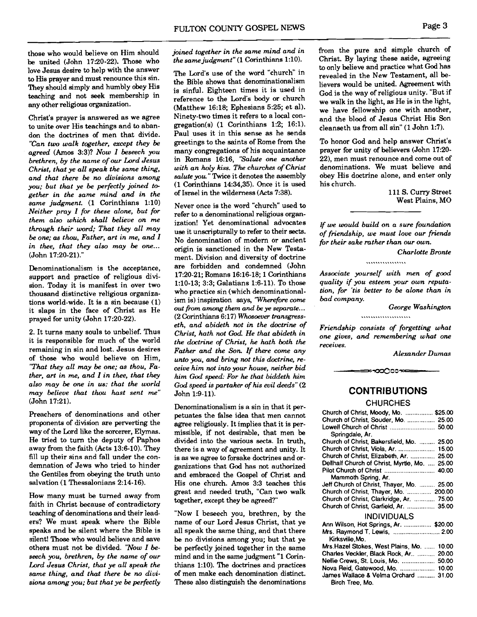those who would believe on Him should be united (John 17:20-22). Those who love Jesus desire to help with the answer to His prayer and must renounce this sin. They should simply and humbly obey His teaching and not seek membership in any other religious organization.

Christ's prayer is answered as we agree to unite over His teachings and to abandon the doctrines of men that divide. *"Can two walk together, except they be agreed* **(Amos** 3:3)? *Now* I *beseech you brethren, by the name of our Lord Jesus Christ, that ye all speak the same thing, and that there be no divisions among you; but that ye be perfectly joined together in the same mind and in the same judgment.* (1 Corinthians 1:lO) *Neither pray I for these alone, but for them also which shall believe on me through their word; That they all may be one; as thou, Father, art in me, and I in thee, that they also may be one...*  (John 17:20-21)."

Denominationalism is the acceptance, support and practice of religious division. Today it is manifest in over two thousand distinctive religious organizations world-wide. It is a sin because (1) it slaps in the face of Christ as He prayed for unity (John 17:20-22).

2. It turns many souls to unbelief. Thus it is responsible for much of the world remaining in sin and lost. Jesus desires of those who would believe on Him, *"That they all may be one; as thou, Father, art in me, and I in thee, that they also may be one in* **us:** *that the world may believe that thou hast sent me"*  (John 17:21).

Preachers of denominations and other proponents of division are perverting the way of the Lord like the sorcerer, Elymas. He tried to turn the deputy of Paphos away from the faith (Acts 13:6-10). They fill up their sins and fall under the condemnation of Jews who tried to hinder the Gentiles from obeying the truth unto salvation (1 Thessalonians 2:14-16).

How many must be turned away from faith in Christ because of contradictory teaching of denominations and their leaders? We must speak where the Bible speaks and be silent where the Bible is silent! Those who would believe and save others must not be divided. *"Now* I *beseech you, brethren, by the name of our Lord Jesus Christ, that ye all speak the same thing, and that there be no divisions among you; but that ye be perfectly* 

#### *joined together in the same mind and in the same judgment"* (1 Corinthians 1:lO).

The Lord's use of the word "church" in the Bible shows that denominationalism is sinful. Eighteen times it is used in reference to the Lord's body or church (Matthew 16:18; Ephesians 5:25; et al). Ninety-two times it refers to a local congregation(s)  $(1$  Corinthians 1:2; 16:1). Paul uses it in this sense **as** he sends greetings to the saints of Rome from the many congregations of his acquaintance in Romans 16:16, *'Salute one another with an holy kiss. The churches of Christ salute you* " Twice it denotes the assembly (1 Corinthians 14:34,35). Once it is used of Israel in the wilderness (Acts 7:38).

Never once is the word "church" used to refer to a denominational religious organization! Yet denominational advocates use it unscripturally to refer to their sects. No denomination of modern or ancient origin is sanctioned in the New Testament. Division and diversity of doctrine are forbidden and condemned (John 17:20-21; Romans 16:16-18; 1 Corinthians 1:lO-13; 3:3; Galatians 1:6-11). To those who practice sin (which denominationalism is) inspiration says, *'Wherefore* come out from among them and be ye separate...<br>(2 Corinthians 6:17) *Whosoever transgresseth, and abideth not in the doctrine of Christ, hath not God He that abideth in the doctrine of Christ, he hath both the Father and the Son If there come any unto you, and bring not this doctrine, receive him not into your house, neither bid him God speed: For he that biddeth him God speed* **is** *partaker of his evil deeds"* (2 John 1:9-11).

Denominationalism is a sin in that it perpetuates the false idea that men cannot agree religiously. It implies that it is permissible, if not desirable, that men be divided into the various sects. In truth. there is a way of agreement and unity. It is as we agree to forsake doctrines and organizations that God has not authorized and embraced the Gospel of Christ and His one church. Amos 3:3 teaches this great and needed truth, "Can two walk together, except they be agreed?"

"Now I beseech you, brethren, by the name of our Lord Jesus Christ, that ye all speak the same thing, and that there be no divisions among you; but that ye be perfectly joined together in the same mind and in the same judgment "1 Corinthians 1:lO). The doctrines and practices of men make each denomination distinct. These also distinguish the denominations from the pure and simple church of Christ. By laying these aside, agreeing to only believe and practice what God has revealed in the New Testament, all believers would be united. Agreement with God is the way of religious unity. "But if we walk in the light, **as** He is in the light, we have fellowship one with another, and the blood of Jesus Christ His Son cleanseth us from all sin" (1 John 1:7).

To honor God and help answer Christ's prayer for unity of believers (John 17:20- 22), men must renounce and come out of denominations. We must believe and obey His doctrine alone, and enter only his church.

> 111 S. Curry Street West Plains, MO

*If we would build on a sure foundation of friendship, we must love our friends fir their sake rather than our own.* 

*Charlotte Bmnte* 

*Associate yourself with men of good quality if you esteem your own reputation, for 'tis better to be alone than in bad company.* 

..................

*George Washington* 

*Friendship consists of forgetting what one gives, and remembering what one receives.* 

*Ahnder Dumas* 

#### **CONTRIBUTIONS**

≈-ಯ೦೦೦ಌ≔

#### **CHURCHES**

| Church of Christ, Moody, Mo.  \$25.00                                                                           |
|-----------------------------------------------------------------------------------------------------------------|
| Church of Christ, Souder, Mo.  25.00                                                                            |
|                                                                                                                 |
| Springdale, Ar.                                                                                                 |
| Church of Christ, Bakersfield, Mo.  25.00                                                                       |
|                                                                                                                 |
| Church of Christ, Elizabeth, Ar.  25.00                                                                         |
| Dellhalf Church of Christ, Myrtle, Mo.  25.00                                                                   |
| Pilot Church of Christ  40.00                                                                                   |
| Mammoth Spring, Ar.                                                                                             |
| Jeff Church of Christ, Thayer, Mo.  25.00                                                                       |
| Church of Christ, Thayer, Mo.  200.00                                                                           |
| Church of Christ, Clarkridge, Ar.  75.00                                                                        |
| Church of Christ, Garfield, Ar.  35.00                                                                          |
| <i><b>INDIVIDUALS</b></i>                                                                                       |
| Ann Wilson, Hot Springs, Ar.  \$20.00                                                                           |
| Mrs. Raymond T. Lewis,  2.00                                                                                    |
| Kirksville.Mo.                                                                                                  |
| Mrs. Hazel Stokes, West Plains, Mo.<br>10.00                                                                    |
| Charles Veckler, Black Rock, Ar  20.00                                                                          |
| Nellie Crews, St. Louis, Mo.  50.00                                                                             |
| Nova Reid, Gatewood, Mo.  10.00                                                                                 |
| James Wallace & Velma Orchard<br>31.00                                                                          |
| a Ministra Ministra Marco de Alegrandes de la contrata de la contrata de la contrata de la contrata de la contr |

Birch Tree, Mo.